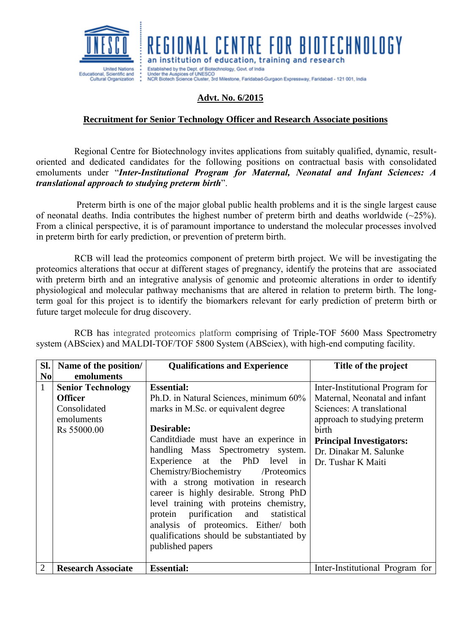

an institution of education, training and research Established by the Dept. of Biotechnology, Govt. of India Under the Auspices of UNESCO<br>NCR Biotech Science Cluster, 3rd Milestone, Faridabad-Gurgaon Expressway, Faridabad - 121 001, India

**CENTRE FOR BIOTECHNOLOGY** 

## **Advt. No. 6/2015**

## **Recruitment for Senior Technology Officer and Research Associate positions**

Regional Centre for Biotechnology invites applications from suitably qualified, dynamic, resultoriented and dedicated candidates for the following positions on contractual basis with consolidated emoluments under "*Inter-Institutional Program for Maternal, Neonatal and Infant Sciences: A translational approach to studying preterm birth*".

Preterm birth is one of the major global public health problems and it is the single largest cause of neonatal deaths. India contributes the highest number of preterm birth and deaths worldwide (~25%). From a clinical perspective, it is of paramount importance to understand the molecular processes involved in preterm birth for early prediction, or prevention of preterm birth.

RCB will lead the proteomics component of preterm birth project. We will be investigating the proteomics alterations that occur at different stages of pregnancy, identify the proteins that are associated with preterm birth and an integrative analysis of genomic and proteomic alterations in order to identify physiological and molecular pathway mechanisms that are altered in relation to preterm birth. The longterm goal for this project is to identify the biomarkers relevant for early prediction of preterm birth or future target molecule for drug discovery.

RCB has integrated proteomics platform comprising of Triple-TOF 5600 Mass Spectrometry system (ABSciex) and MALDI-TOF/TOF 5800 System (ABSciex), with high-end computing facility.

| SI.                            | Name of the position/                                                                                 | <b>Qualifications and Experience</b>                                                                                                                                                                                                                                                                                                                                                                                                                                                                                                                      | Title of the project                                                                                                                                                                                                      |
|--------------------------------|-------------------------------------------------------------------------------------------------------|-----------------------------------------------------------------------------------------------------------------------------------------------------------------------------------------------------------------------------------------------------------------------------------------------------------------------------------------------------------------------------------------------------------------------------------------------------------------------------------------------------------------------------------------------------------|---------------------------------------------------------------------------------------------------------------------------------------------------------------------------------------------------------------------------|
| N <sub>0</sub><br>$\mathbf{1}$ | emoluments<br><b>Senior Technology</b><br><b>Officer</b><br>Consolidated<br>emoluments<br>Rs 55000.00 | <b>Essential:</b><br>Ph.D. in Natural Sciences, minimum 60%<br>marks in M.Sc. or equivalent degree<br>Desirable:<br>Candit diade must have an experince in<br>handling Mass Spectrometry system.<br>Experience at the PhD level in<br>Chemistry/Biochemistry /Proteomics<br>with a strong motivation in research<br>career is highly desirable. Strong PhD<br>level training with proteins chemistry,<br>protein purification and<br>statistical<br>analysis of proteomics. Either/ both<br>qualifications should be substantiated by<br>published papers | Inter-Institutional Program for<br>Maternal, Neonatal and infant<br>Sciences: A translational<br>approach to studying preterm<br>birth<br><b>Principal Investigators:</b><br>Dr. Dinakar M. Salunke<br>Dr. Tushar K Maiti |
| $\overline{2}$                 | <b>Research Associate</b>                                                                             | <b>Essential:</b>                                                                                                                                                                                                                                                                                                                                                                                                                                                                                                                                         | Inter-Institutional Program for                                                                                                                                                                                           |